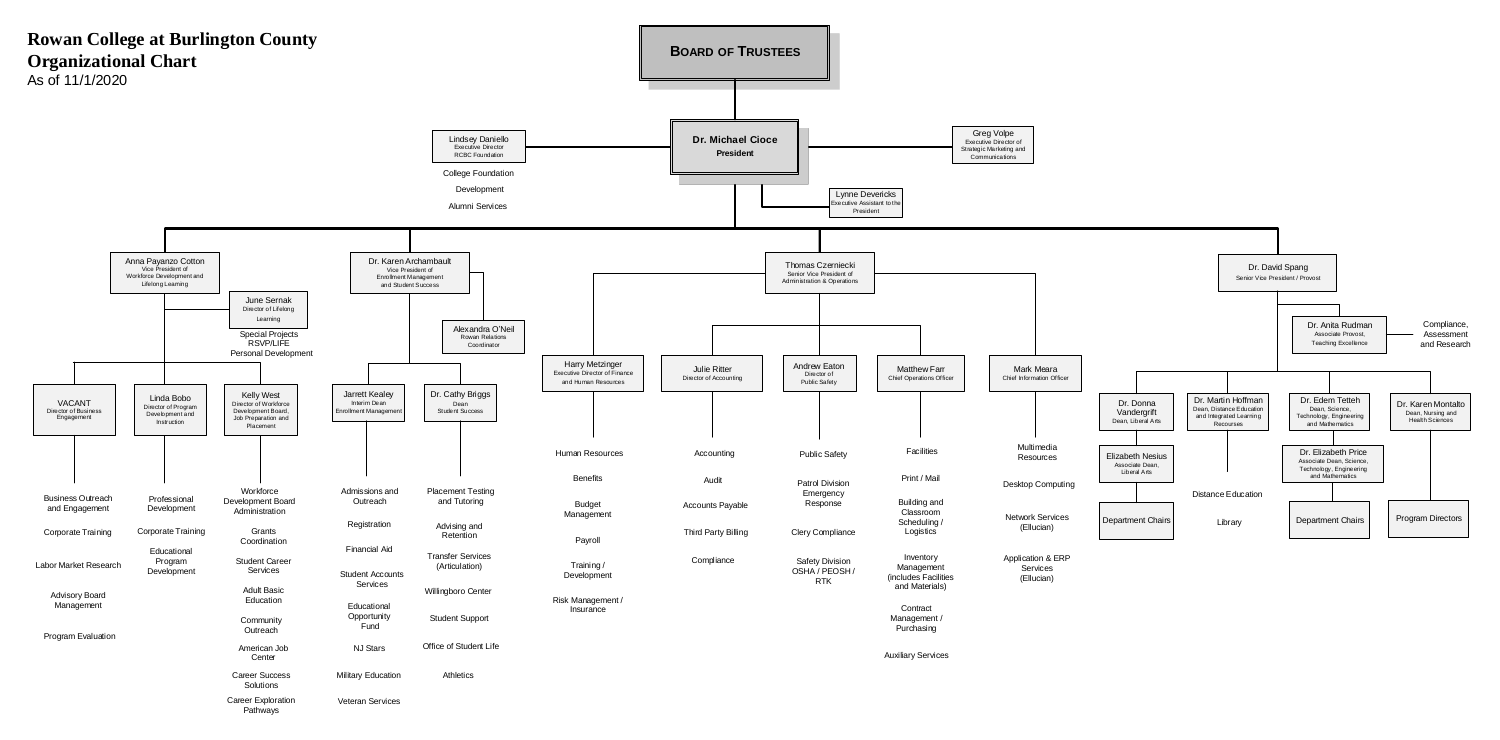

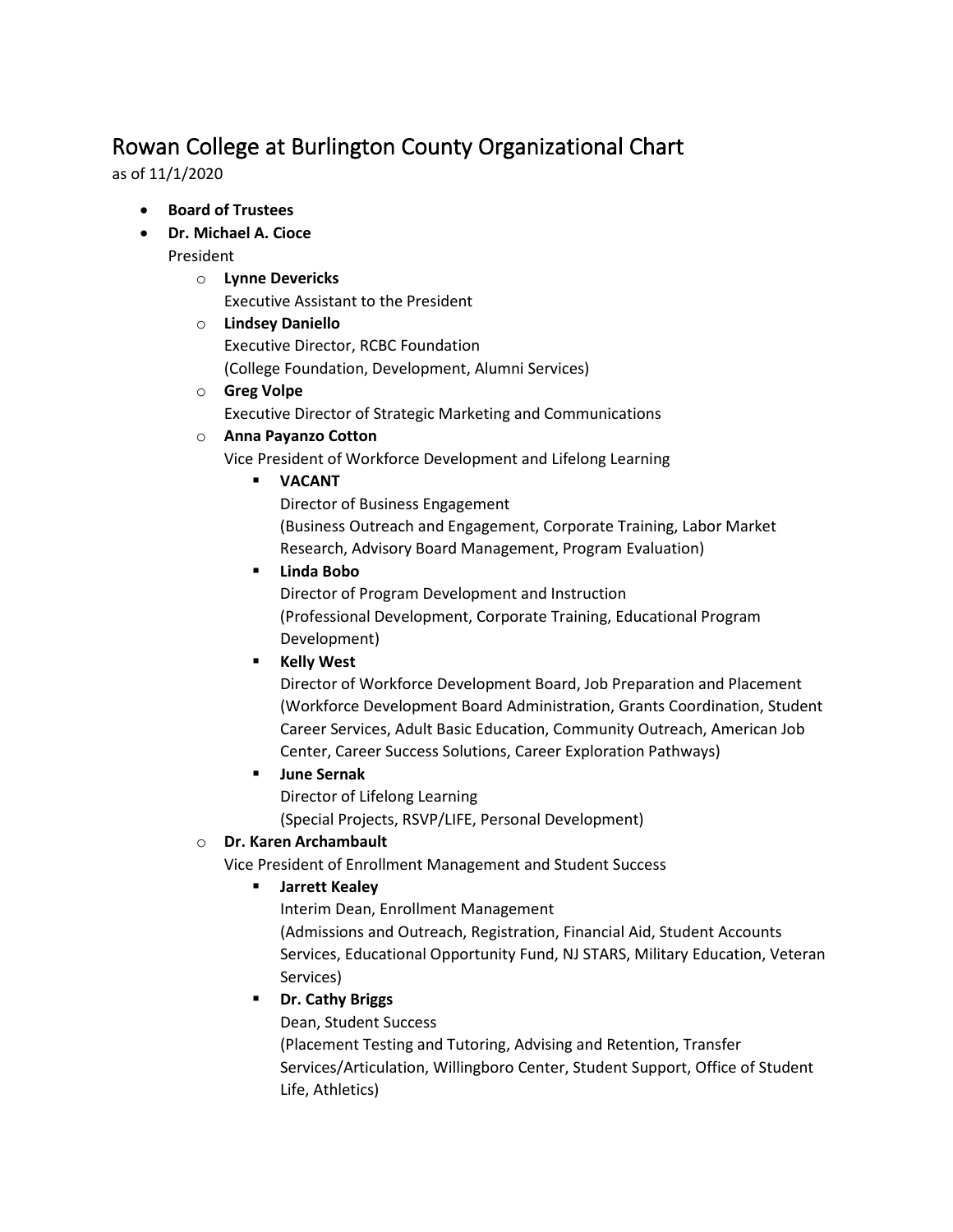# Rowan College at Burlington County Organizational Chart

as of 11/1/2020

- **Board of Trustees**
- **Dr. Michael A. Cioce**
	- President
		- o **Lynne Devericks**
			- Executive Assistant to the President
		- o **Lindsey Daniello** Executive Director, RCBC Foundation (College Foundation, Development, Alumni Services)
		- o **Greg Volpe** Executive Director of Strategic Marketing and Communications

### o **Anna Payanzo Cotton**

Vice President of Workforce Development and Lifelong Learning

**VACANT**

Director of Business Engagement (Business Outreach and Engagement, Corporate Training, Labor Market Research, Advisory Board Management, Program Evaluation)

**Linda Bobo**

Director of Program Development and Instruction (Professional Development, Corporate Training, Educational Program Development)

**Kelly West** 

Director of Workforce Development Board, Job Preparation and Placement (Workforce Development Board Administration, Grants Coordination, Student Career Services, Adult Basic Education, Community Outreach, American Job Center, Career Success Solutions, Career Exploration Pathways)

**June Sernak**

Director of Lifelong Learning

(Special Projects, RSVP/LIFE, Personal Development)

## o **Dr. Karen Archambault**

Vice President of Enrollment Management and Student Success

**Jarrett Kealey**

Interim Dean, Enrollment Management

(Admissions and Outreach, Registration, Financial Aid, Student Accounts Services, Educational Opportunity Fund, NJ STARS, Military Education, Veteran Services)

## **Dr. Cathy Briggs**

Dean, Student Success

(Placement Testing and Tutoring, Advising and Retention, Transfer Services/Articulation, Willingboro Center, Student Support, Office of Student Life, Athletics)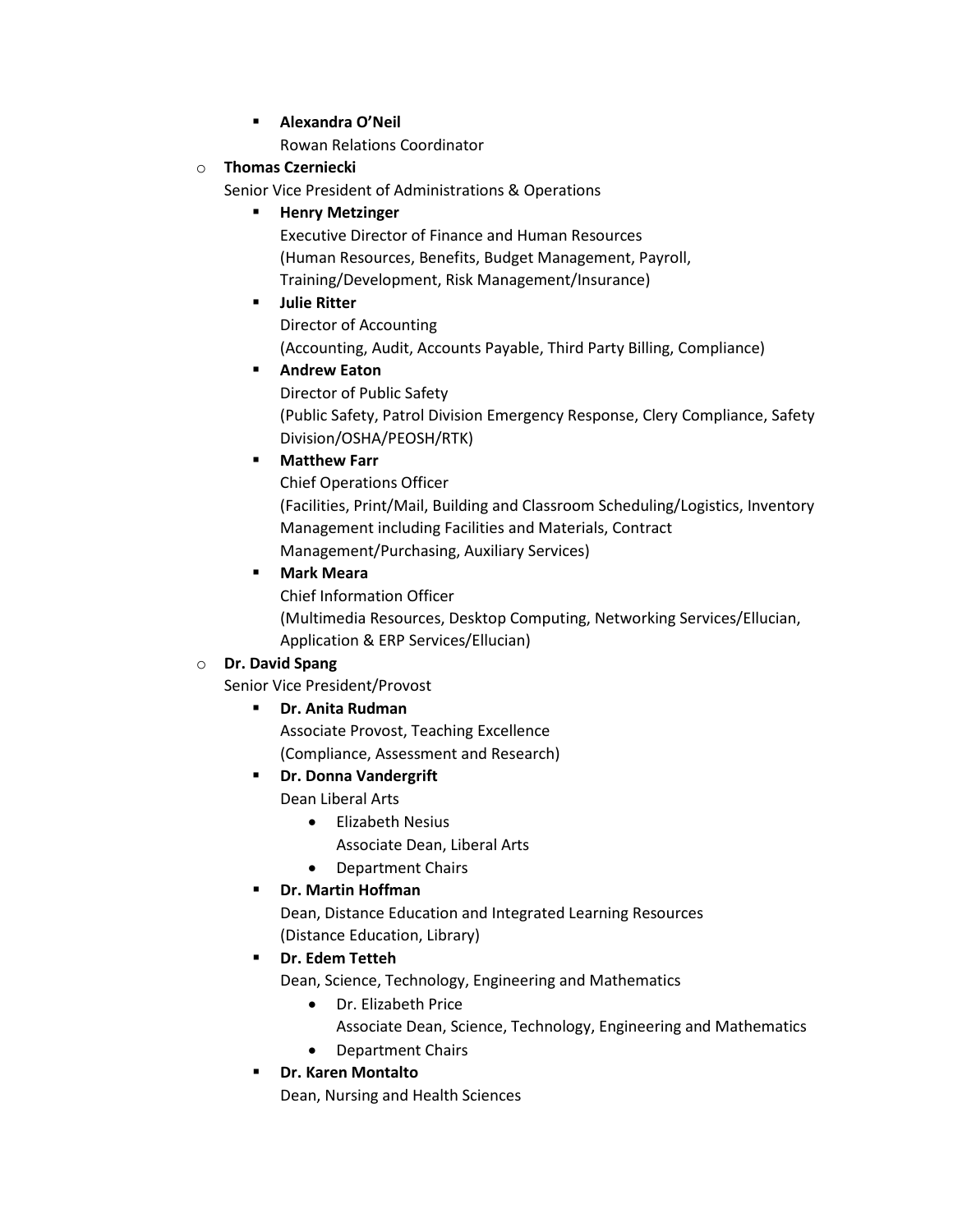**Alexandra O'Neil**

Rowan Relations Coordinator

#### o **Thomas Czerniecki**

Senior Vice President of Administrations & Operations

#### **Henry Metzinger**

Executive Director of Finance and Human Resources (Human Resources, Benefits, Budget Management, Payroll, Training/Development, Risk Management/Insurance)

### **Julie Ritter**

Director of Accounting (Accounting, Audit, Accounts Payable, Third Party Billing, Compliance)

## **Andrew Eaton**

Director of Public Safety (Public Safety, Patrol Division Emergency Response, Clery Compliance, Safety Division/OSHA/PEOSH/RTK)

### **Matthew Farr**

Chief Operations Officer (Facilities, Print/Mail, Building and Classroom Scheduling/Logistics, Inventory Management including Facilities and Materials, Contract Management/Purchasing, Auxiliary Services)

### **Mark Meara**

Chief Information Officer

(Multimedia Resources, Desktop Computing, Networking Services/Ellucian, Application & ERP Services/Ellucian)

## o **Dr. David Spang**

Senior Vice President/Provost

## **Dr. Anita Rudman**

Associate Provost, Teaching Excellence

(Compliance, Assessment and Research)

## **PR. Donna Vandergrift**

Dean Liberal Arts

- Elizabeth Nesius
	- Associate Dean, Liberal Arts
- Department Chairs

## **Dr. Martin Hoffman**

Dean, Distance Education and Integrated Learning Resources (Distance Education, Library)

## **Dr. Edem Tetteh**

Dean, Science, Technology, Engineering and Mathematics

- Dr. Elizabeth Price
	- Associate Dean, Science, Technology, Engineering and Mathematics
- Department Chairs

## **Dr. Karen Montalto**

Dean, Nursing and Health Sciences